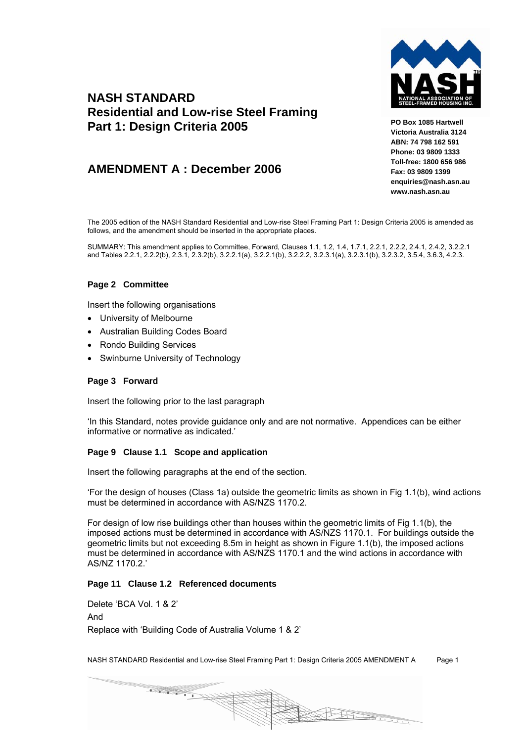

# **NASH STANDARD Residential and Low-rise Steel Framing Part 1: Design Criteria 2005**

# **AMENDMENT A : December 2006**

**PO Box 1085 Hartwell Victoria Australia 3124 ABN: 74 798 162 591 Phone: 03 9809 1333 Toll-free: 1800 656 986 Fax: 03 9809 1399 enquiries@nash.asn.au www.nash.asn.au** 

The 2005 edition of the NASH Standard Residential and Low-rise Steel Framing Part 1: Design Criteria 2005 is amended as follows, and the amendment should be inserted in the appropriate places.

SUMMARY: This amendment applies to Committee, Forward, Clauses 1.1, 1.2, 1.4, 1.7.1, 2.2.1, 2.2.2, 2.4.1, 2.4.2, 3.2.2.1 and Tables 2.2.1, 2.2.2(b), 2.3.1, 2.3.2(b), 3.2.2.1(a), 3.2.2.1(b), 3.2.2.2, 3.2.3.1(a), 3.2.3.1(b), 3.2.3.2, 3.5.4, 3.6.3, 4.2.3.

# **Page 2 Committee**

Insert the following organisations

- University of Melbourne
- Australian Building Codes Board
- Rondo Building Services
- Swinburne University of Technology

# **Page 3 Forward**

Insert the following prior to the last paragraph

'In this Standard, notes provide guidance only and are not normative. Appendices can be either informative or normative as indicated.'

## **Page 9 Clause 1.1 Scope and application**

Insert the following paragraphs at the end of the section.

'For the design of houses (Class 1a) outside the geometric limits as shown in Fig 1.1(b), wind actions must be determined in accordance with AS/NZS 1170.2.

For design of low rise buildings other than houses within the geometric limits of Fig 1.1(b), the imposed actions must be determined in accordance with AS/NZS 1170.1. For buildings outside the geometric limits but not exceeding 8.5m in height as shown in Figure 1.1(b), the imposed actions must be determined in accordance with AS/NZS 1170.1 and the wind actions in accordance with AS/NZ 1170.2.'

# **Page 11 Clause 1.2 Referenced documents**

Delete 'BCA Vol. 1 & 2' And Replace with 'Building Code of Australia Volume 1 & 2'

NASH STANDARD Residential and Low-rise Steel Framing Part 1: Design Criteria 2005 AMENDMENT A Page 1

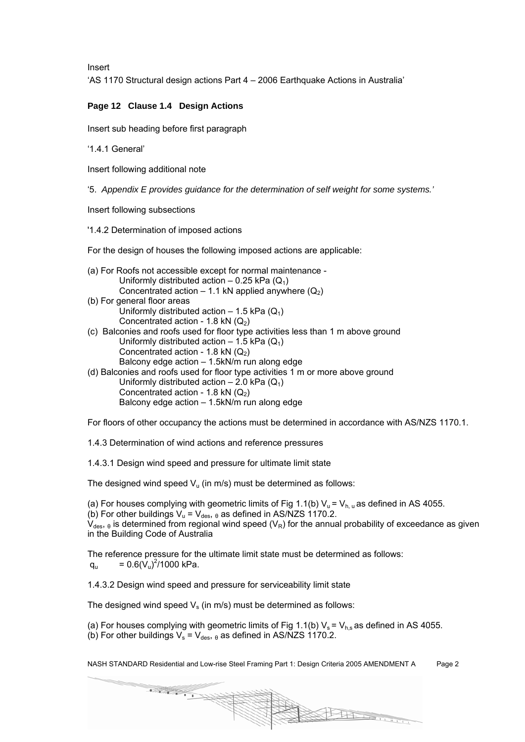Insert

'AS 1170 Structural design actions Part 4 – 2006 Earthquake Actions in Australia'

# **Page 12 Clause 1.4 Design Actions**

Insert sub heading before first paragraph

'1.4.1 General'

Insert following additional note

'5. *Appendix E provides guidance for the determination of self weight for some systems.'* 

Insert following subsections

'1.4.2 Determination of imposed actions

For the design of houses the following imposed actions are applicable:

- (a) For Roofs not accessible except for normal maintenance Uniformly distributed action – 0.25 kPa  $(Q_1)$ Concentrated action – 1.1 kN applied anywhere  $(Q_2)$ (b) For general floor areas
	- Uniformly distributed action  $-1.5$  kPa ( $Q_1$ ) Concentrated action - 1.8 kN  $(Q<sub>2</sub>)$
- (c) Balconies and roofs used for floor type activities less than 1 m above ground Uniformly distributed action  $-1.5$  kPa ( $Q_1$ ) Concentrated action - 1.8 kN  $(Q_2)$ Balcony edge action – 1.5kN/m run along edge (d) Balconies and roofs used for floor type activities 1 m or more above ground
- Uniformly distributed action  $2.0$  kPa ( $Q_1$ ) Concentrated action - 1.8 kN  $(Q_2)$ Balcony edge action – 1.5kN/m run along edge

For floors of other occupancy the actions must be determined in accordance with AS/NZS 1170.1.

1.4.3 Determination of wind actions and reference pressures

1.4.3.1 Design wind speed and pressure for ultimate limit state

The designed wind speed  $V_u$  (in m/s) must be determined as follows:

(a) For houses complying with geometric limits of Fig 1.1(b)  $V_{u} = V_{h, u}$  as defined in AS 4055.

(b) For other buildings  $V_u = V_{des}$ ,  $\theta$  as defined in AS/NZS 1170.2.

 $V_{des, \theta}$  is determined from regional wind speed (V<sub>R</sub>) for the annual probability of exceedance as given in the Building Code of Australia

The reference pressure for the ultimate limit state must be determined as follows:  $q_u = 0.6(\dot{V}_u)^2/1000$  kPa.

1.4.3.2 Design wind speed and pressure for serviceability limit state

The designed wind speed  $V_s$  (in m/s) must be determined as follows:

(a) For houses complying with geometric limits of Fig 1.1(b)  $V_s = V_{hs}$  as defined in AS 4055.

(b) For other buildings  $V_s = V_{des, \theta}$  as defined in AS/NZS 1170.2.

NASH STANDARD Residential and Low-rise Steel Framing Part 1: Design Criteria 2005 AMENDMENT A Page 2

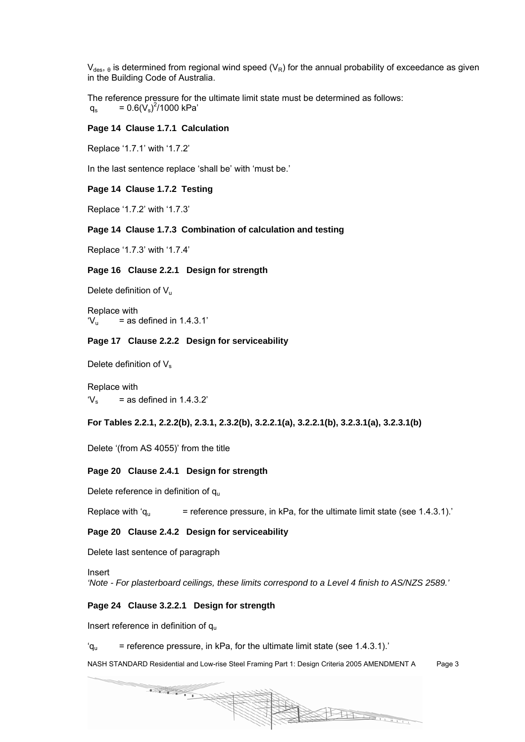$V_{des, \theta}$  is determined from regional wind speed (V<sub>R</sub>) for the annual probability of exceedance as given in the Building Code of Australia.

The reference pressure for the ultimate limit state must be determined as follows:  $q_s = 0.6(\dot{V}_s)^2/1000$  kPa'

#### **Page 14 Clause 1.7.1 Calculation**

Replace '1.7.1' with '1.7.2'

In the last sentence replace 'shall be' with 'must be.'

## **Page 14 Clause 1.7.2 Testing**

Replace '1.7.2' with '1.7.3'

## **Page 14 Clause 1.7.3 Combination of calculation and testing**

Replace '1.7.3' with '1.7.4'

#### **Page 16 Clause 2.2.1 Design for strength**

Delete definition of  $V_{\text{u}}$ 

Replace with  $V_{\text{u}}$  = as defined in 1.4.3.1'

### **Page 17 Clause 2.2.2 Design for serviceability**

Delete definition of  $V_s$ 

Replace with  $V_s$  = as defined in 1.4.3.2'

**For Tables 2.2.1, 2.2.2(b), 2.3.1, 2.3.2(b), 3.2.2.1(a), 3.2.2.1(b), 3.2.3.1(a), 3.2.3.1(b)** 

Delete '(from AS 4055)' from the title

#### **Page 20 Clause 2.4.1 Design for strength**

Delete reference in definition of  $q_u$ 

Replace with 'q<sub>u</sub>  $=$  reference pressure, in kPa, for the ultimate limit state (see 1.4.3.1).

#### **Page 20 Clause 2.4.2 Design for serviceability**

Delete last sentence of paragraph

Insert

*'Note - For plasterboard ceilings, these limits correspond to a Level 4 finish to AS/NZS 2589.'* 

#### **Page 24 Clause 3.2.2.1 Design for strength**

Insert reference in definition of  $q_u$ 

 $q_{\rm u}$  = reference pressure, in kPa, for the ultimate limit state (see 1.4.3.1).

NASH STANDARD Residential and Low-rise Steel Framing Part 1: Design Criteria 2005 AMENDMENT A Page 3